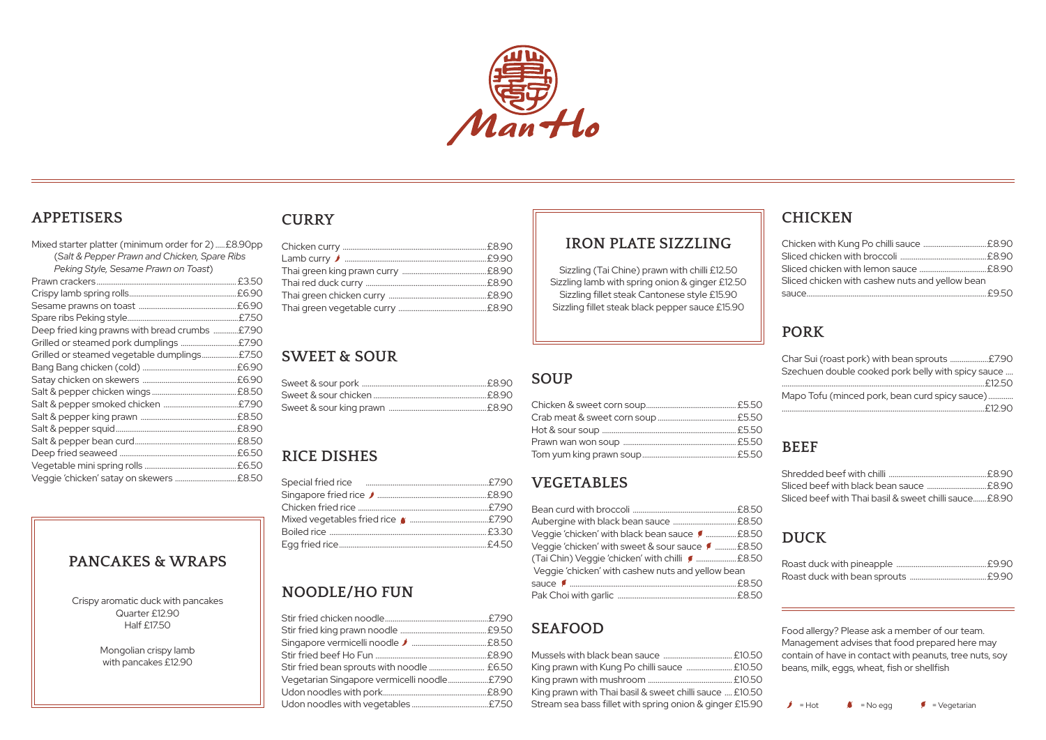# **SWEET & SOUR**

# **SEAFOOD**

| King prawn with Kung Po chilli sauce  £10.50             |  |
|----------------------------------------------------------|--|
|                                                          |  |
| King prawn with Thai basil & sweet chilli sauce  £10.50  |  |
| Stream sea bass fillet with spring onion & ginger £15.90 |  |

# **PORK**

| Char Sui (roast pork) with bean sprouts £7.90      |  |
|----------------------------------------------------|--|
| Szechuen double cooked pork belly with spicy sauce |  |
|                                                    |  |
| Mapo Tofu (minced pork, bean curd spicy sauce)     |  |
|                                                    |  |
|                                                    |  |

# **BEEF**

| Sliced beef with black bean sauce £8.90               |  |
|-------------------------------------------------------|--|
| Sliced beef with Thai basil & sweet chilli sauce£8.90 |  |

# **CHICKEN**

| Sliced chicken with lemon sauce £8.90           |  |
|-------------------------------------------------|--|
| Sliced chicken with cashew nuts and yellow bean |  |
|                                                 |  |

# **DUCK**



#### **APPETISERS**

| Mixed starter platter (minimum order for 2)£8.90pp |  |
|----------------------------------------------------|--|
| (Salt & Pepper Prawn and Chicken, Spare Ribs       |  |
| Peking Style, Sesame Prawn on Toast)               |  |
|                                                    |  |
|                                                    |  |
|                                                    |  |
|                                                    |  |
| Deep fried king prawns with bread crumbs £7.90     |  |
|                                                    |  |
| Grilled or steamed vegetable dumplings£7.50        |  |
|                                                    |  |
|                                                    |  |
|                                                    |  |
|                                                    |  |
|                                                    |  |
|                                                    |  |
|                                                    |  |
|                                                    |  |
|                                                    |  |
| Veggie 'chicken' satay on skewers  £8.50           |  |

## **PANCAKES & WRAPS**

Crispy aromatic duck with pancakes Quarter £12.90 Half £17.50

> Mongolian crispy lamb with pancakes £12.90

# **SOUP**

## **IRON PLATE SIZZLING**

Sizzling (Tai Chine) prawn with chilli £12.50 Sizzling lamb with spring onion & ginger £12.50 Sizzling fillet steak Cantonese style £15.90 Sizzling fillet steak black pepper sauce £15.90

> Food allergy? Please ask a member of our team. Management advises that food prepared here may contain of have in contact with peanuts, tree nuts, soy beans, milk, eggs, wheat, fish or shellfish



# **NOODLE/HO FUN**

| Vegetarian Singapore vermicelli noodle£7.90 |  |
|---------------------------------------------|--|
|                                             |  |
|                                             |  |
|                                             |  |

# **RICE DISHES**

| Mixed vegetables fried rice (Manuminuminuminuminum £7.90 |
|----------------------------------------------------------|
|                                                          |
|                                                          |
|                                                          |

# **VEGETABLES**

| Veggie 'chicken' with black bean sauce [  £8.50   |  |
|---------------------------------------------------|--|
| Veggie 'chicken' with sweet & sour sauce [ £8.50  |  |
| (Tai Chin) Veggie 'chicken' with chilli ( £8.50   |  |
| Veggie 'chicken' with cashew nuts and yellow bean |  |
|                                                   |  |
|                                                   |  |

# **CURRY**